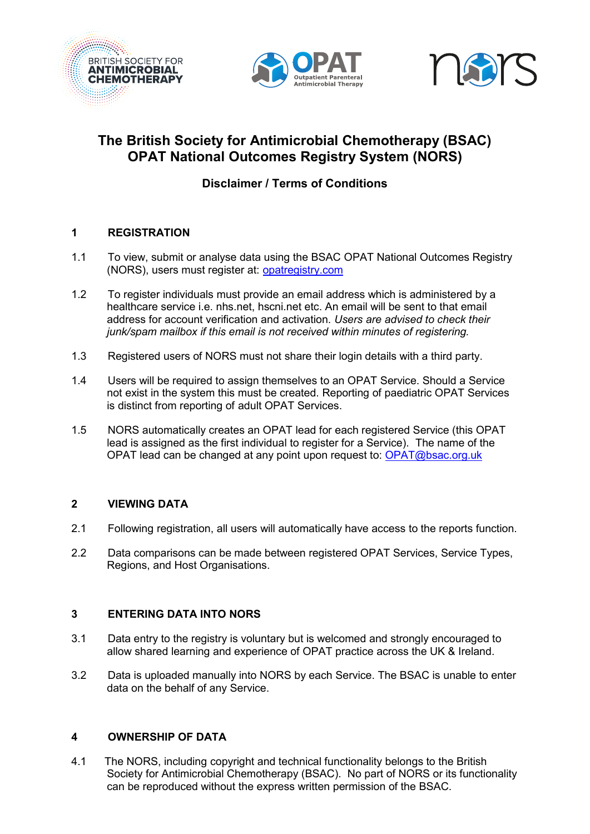





# **The British Society for Antimicrobial Chemotherapy (BSAC) OPAT National Outcomes Registry System (NORS)**

## **Disclaimer / Terms of Conditions**

## **1 REGISTRATION**

- 1.1 To view, submit or analyse data using the BSAC OPAT National Outcomes Registry (NORS), users must register at: opatregistry.com
- 1.2 To register individuals must provide an email address which is administered by a healthcare service i.e. nhs.net, hscni.net etc. An email will be sent to that email address for account verification and activation. *Users are advised to check their junk/spam mailbox if this email is not received within minutes of registering.*
- 1.3 Registered users of NORS must not share their login details with a third party.
- 1.4 Users will be required to assign themselves to an OPAT Service. Should a Service not exist in the system this must be created. Reporting of [paediatric](mailto:opat@bsac.org.uk) OPAT Services is distinct from reporting of adult OPAT Services.
- 1.5 NORS automatically creates an OPAT lead for each registered Service (this OPAT lead is assigned as the first individual to register for a Service). The name of the OPAT lead can be changed at any point upon request to: OPAT@bsac.org.uk

## **2 VIEWING DATA**

- 2.1 Following registration, all users will automatically have access to the reports function.
- 2.2 Data comparisons can be made between registered OPAT Services, Service Types, Regions, and Host Organisations.

## **3 ENTERING DATA INTO NORS**

- 3.1 Data entry to the registry is voluntary but is welcomed and strongly encouraged to allow shared learning and experience of OPAT practice across the UK & Ireland.
- 3.2 Data is uploaded manually into NORS by each Service. The BSAC is unable to enter data on the behalf of any Service.

## **4 OWNERSHIP OF DATA**

4.1 The NORS, including copyright and technical functionality belongs to the British Society for Antimicrobial Chemotherapy (BSAC). No part of NORS or its functionality can be reproduced without the express written permission of the BSAC.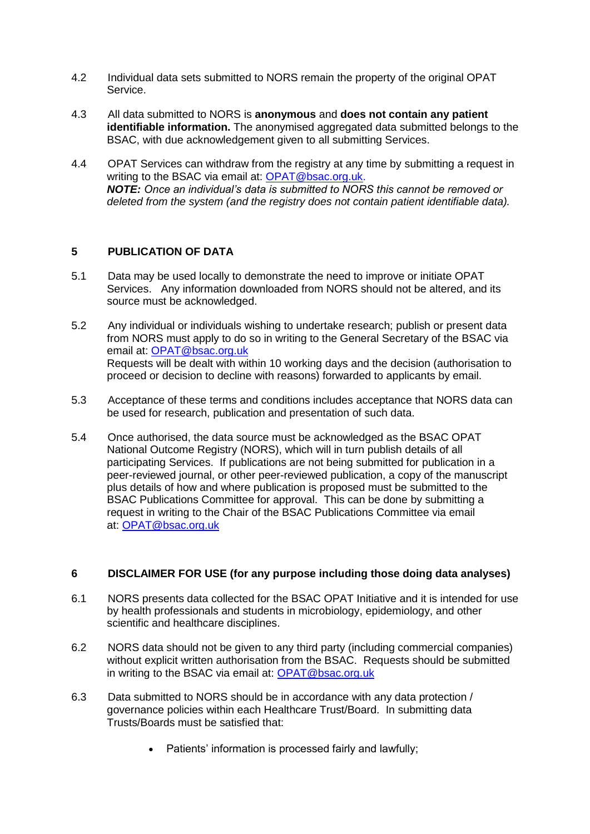- 4.2 Individual data sets submitted to NORS remain the property of the original OPAT Service.
- 4.3 All data submitted to NORS is **anonymous** and **does not contain any patient identifiable information.** The anonymised aggregated data submitted belongs to the BSAC, with due acknowledgement given to all submitting Services.
- 4.4 OPAT Services can withdraw from the registry at any time by submitting a request in writing to the BSAC via email at: [OPAT@bsac.org.uk.](mailto:opat@bsac.org.uk) *NOTE: Once an individual's data is submitted to NORS this cannot be removed or deleted from the system (and the registry does not contain patient identifiable data).*

## **5 PUBLICATION OF DATA**

- 5.1 Data may be used locally to demonstrate the need to improve or initiate OPAT Services. Any information downloaded from NORS should not be altered, and its source must be acknowledged.
- 5.2 Any individual or individuals wishing to undertake research; publish or present data from NORS must apply to do so in writing to the General Secretary of the BSAC via email at: [OPAT@bsac.org.uk](mailto:opat@bsac.org.uk) Requests will be dealt with within 10 working days and the decision (authorisation to proceed or decision to decline with reasons) forwarded to applicants by email.
- 5.3 Acceptance of these terms and conditions includes acceptance that NORS data can be used for research, publication and presentation of such data.
- 5.4 Once authorised, the data source must be acknowledged as the BSAC OPAT National Outcome Registry (NORS), which will in turn publish details of all participating Services. If publications are not being submitted for publication in a peer-reviewed journal, or other peer-reviewed publication, a copy of the manuscript plus details of how and where publication is proposed must be submitted to the BSAC Publications Committee for approval. This can be done by submitting a request in writing to the Chair of the BSAC Publications Committee via email at: [OPAT@bsac.org.uk](mailto:opat@bsac.org.uk)

## **6 DISCLAIMER FOR USE (for any purpose including those doing data analyses)**

- 6.1 NORS presents data collected for the BSAC OPAT Initiative and it is intended for use by health professionals and students in microbiology, epidemiology, and other scientific and healthcare disciplines.
- 6.2 NORS data should not be given to any third party (including commercial companies) without explicit written authorisation from the BSAC. Requests should be submitted in writing to the BSAC via email at: [OPAT@bsac.org.uk](mailto:opat@bsac.org.uk)
- 6.3 Data submitted to NORS should be in accordance with any data protection / governance policies within each Healthcare Trust/Board. In submitting data Trusts/Boards must be satisfied that:
	- Patients' information is processed fairly and lawfully;